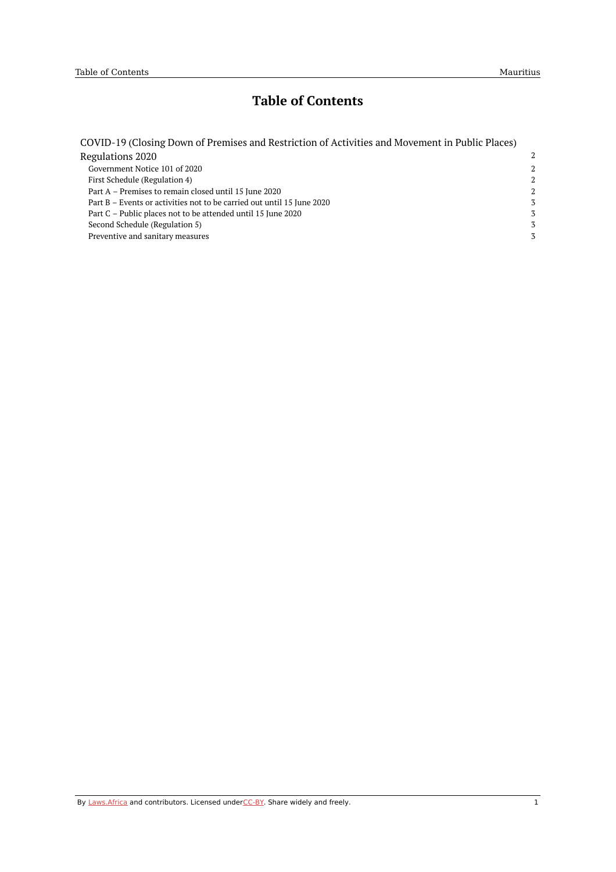# **Table of Contents**

| COVID-19 (Closing Down of Premises and Restriction of Activities and Movement in Public Places) |   |
|-------------------------------------------------------------------------------------------------|---|
| Regulations 2020                                                                                | 2 |
| Government Notice 101 of 2020                                                                   | 2 |
| First Schedule (Regulation 4)                                                                   | 2 |
| Part A – Premises to remain closed until 15 June 2020                                           | 2 |
| Part B – Events or activities not to be carried out until 15 June 2020                          | 3 |
| Part C – Public places not to be attended until 15 June 2020                                    | 3 |
| Second Schedule (Regulation 5)                                                                  | 3 |
| Preventive and sanitary measures                                                                | 3 |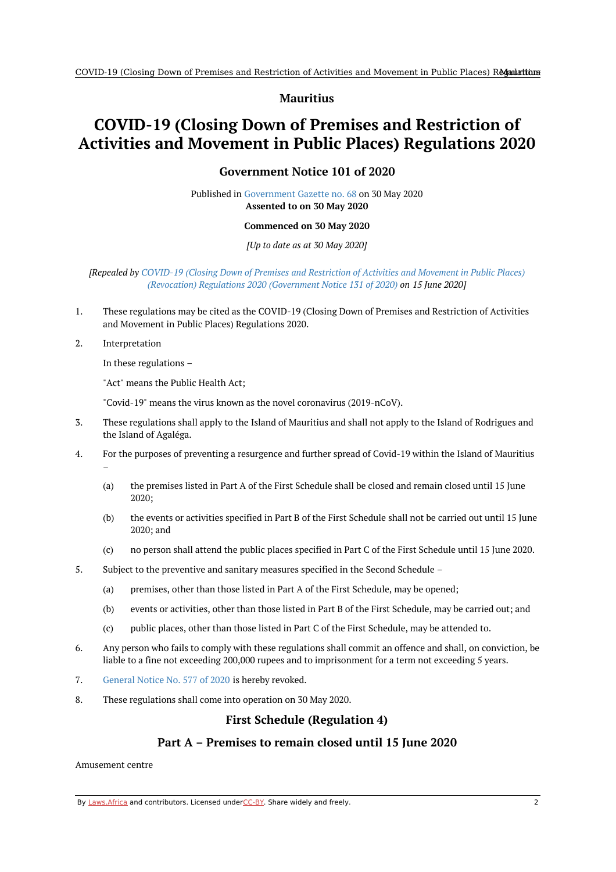### **Mauritius**

# <span id="page-1-1"></span><span id="page-1-0"></span>**COVID-19 (Closing Down of Premises and Restriction of Activities and Movement in Public Places) Regulations 2020**

## **Government Notice 101 of 2020**

Published in [Government](https://commons.laws.africa/akn/mu/act/gn/2020/101/media/publication/mu-act-gn-2020-101-publication-document.pdf) Gazette no. 68 on 30 May 2020 **Assented to on 30 May 2020**

#### **Commenced on 30 May 2020**

#### *[Up to date as at 30 May 2020]*

### *[Repealed by COVID-19 (Closing Down of Premises and Restriction of Activities and Movement in Public Places) (Revocation) Regulations 2020 [\(Government](https://africanlii.org/akn/mu/act/gn/2020/131) Notice 131 of 2020) on 15 June 2020]*

- 1. These regulations may be cited as the COVID-19 (Closing Down of Premises and Restriction of Activities and Movement in Public Places) Regulations 2020.
- 2. Interpretation

–

In these regulations –

"Act" means the Public Health Act;

"Covid-19" means the virus known as the novel coronavirus (2019-nCoV).

- 3. These regulations shall apply to the Island of Mauritius and shall not apply to the Island of Rodrigues and the Island of Agaléga.
- 4. For the purposes of preventing a resurgence and further spread of Covid-19 within the Island of Mauritius
	- (a) the premises listed in Part A of the First Schedule shall be closed and remain closed until 15 June 2020;
	- (b) the events or activities specified in Part B of the First Schedule shall not be carried out until 15 June 2020; and
	- (c) no person shall attend the public places specified in Part C of the First Schedule until 15 June 2020.
- 5. Subject to the preventive and sanitary measures specified in the Second Schedule –
	- (a) premises, other than those listed in Part A of the First Schedule, may be opened;
	- (b) events or activities, other than those listed in Part B of the First Schedule, may be carried out; and
	- (c) public places, other than those listed in Part C of the First Schedule, may be attended to.
- 6. Any person who fails to comply with these regulations shall commit an offence and shall, on conviction, be liable to a fine not exceeding 200,000 rupees and to imprisonment for a term not exceeding 5 years.
- 7. [General](https://africanlii.org/akn/mu/act/genn/2020/577) Notice No. 577 of 2020 is hereby revoked.
- <span id="page-1-2"></span>8. These regulations shall come into operation on 30 May 2020.

## **First Schedule (Regulation 4)**

## **Part A – Premises to remain closed until 15 June 2020**

<span id="page-1-3"></span>Amusement centre

By [Laws.Africa](https://edit.laws.africa/widgets/pdf-attribution) and contributors. Licensed und[erCC-B](https://edit.laws.africa/widgets/pdf-cc-by)Y. Share widely and freely.